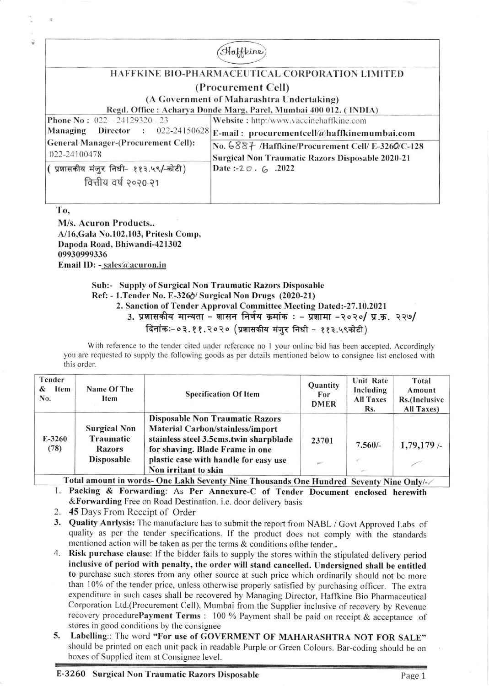|                                                                   | taffeine                                                |  |
|-------------------------------------------------------------------|---------------------------------------------------------|--|
| <b>HAFFKINE BIO-PHARMACEUTICAL CORPORATION LIMITED</b>            |                                                         |  |
|                                                                   | (Procurement Cell)                                      |  |
| (A Government of Maharashtra Undertaking)                         |                                                         |  |
| Regd. Office : Acharya Donde Marg, Parel, Mumbai 400 012. (INDIA) |                                                         |  |
| <b>Phone No:</b> $022 - 24129320 - 23$                            | Website: http:/www.vaccinehaffkine.com                  |  |
| <b>Director</b> : 022-24150628<br>Managing                        | E-mail: procurementcell $@$ haffkinemumbai.com          |  |
| <b>General Manager-(Procurement Cell):</b>                        | No. 6887 /Haffkine/Procurement Cell/ E-3260/C-128       |  |
| 022-24100478                                                      | <b>Surgical Non Traumatic Razors Disposable 2020-21</b> |  |
| प्रशासकीय मंजुर निधी- ११३.५९/-कोटी)                               | Date:- $20.6$ .2022                                     |  |
| वित्तीय वर्ष २०२०-२१                                              |                                                         |  |
|                                                                   |                                                         |  |

To,

M/s. Acuron Products.. A/16, Gala No.102, 103, Pritesh Comp, Dapoda Road, Bhiwandi-421302 09930999336 Email ID: - sales@acuron.in

## Sub:- Supply of Surgical Non Traumatic Razors Disposable

Ref: - 1. Tender No. E-3266/ Surgical Non Drugs (2020-21)

2. Sanction of Tender Approval Committee Meeting Dated:-27.10.2021

3. प्रशासकीय मान्यता - शासन निर्णय क्रमांक : - प्रशामा -२०२०/ प्र.क्र. २२७/

दिनांकः-०३.११.२०२० (प्रशासकीय मंजुर निधी - ११३.५९कोटी)

With reference to the tender cited under reference no 1 your online bid has been accepted. Accordingly you are requested to supply the following goods as per details mentioned below to consignee list enclosed with this order.

| Tender<br>Item<br>&<br>No. | Name Of The<br>Item                                             | <b>Specification Of Item</b>                                                                                                                                                                                                    | Quantity<br>For<br><b>DMER</b> | <b>Unit Rate</b><br>Including<br><b>All Taxes</b><br>Rs. | Total<br>Amount<br>Rs.(Inclusive<br>All Taxes) |
|----------------------------|-----------------------------------------------------------------|---------------------------------------------------------------------------------------------------------------------------------------------------------------------------------------------------------------------------------|--------------------------------|----------------------------------------------------------|------------------------------------------------|
| $E-3260$<br>(78)           | <b>Surgical Non</b><br>Traumatic<br><b>Razors</b><br>Disposable | <b>Disposable Non Traumatic Razors</b><br><b>Material Carbon/stainless/import</b><br>stainless steel 3.5cms.twin sharpblade<br>for shaving. Blade Frame in one<br>plastic case with handle for easy use<br>Non irritant to skin | 23701                          | $7.560/-$<br>r -                                         | 1,79,179/                                      |

Total amount in words- One Lakh Seventy Nine Thousands One Hundred Seventy Nine Only/-

1. Packing & Forwarding: As Per Annexure-C of Tender Document enclosed herewith &Forwarding Free on Road Destination. i.e. door delivery basis

- 2. 45 Days From Receipt of Order
- 3. Quality Anrlysis: The manufacture has to submit the report from NABL / Govt Approved Labs of quality as per the tender specifications. If the product does not comply with the standards mentioned action will be taken as per the terms & conditions of the tender..
- 4. Risk purchase clause: If the bidder fails to supply the stores within the stipulated delivery period inclusive of period with penalty, the order will stand cancelled. Undersigned shall be entitled to purchase such stores from any other source at such price which ordinarily should not be more than 10% of the tender price, unless otherwise properly satisfied by purchasing officer. The extra expenditure in such cases shall be recovered by Managing Director, Haffkine Bio Pharmaceutical Corporation Ltd.(Procurement Cell), Mumbai from the Supplier inclusive of recovery by Revenue recovery procedurePayment Terms : 100 % Payment shall be paid on receipt & acceptance of stores in good conditions by the consignee
- Labelling:: The word "For use of GOVERMENT OF MAHARASHTRA NOT FOR SALE" 5. should be printed on each unit pack in readable Purple or Green Colours. Bar-coding should be on boxes of Supplied item at Consignee level.